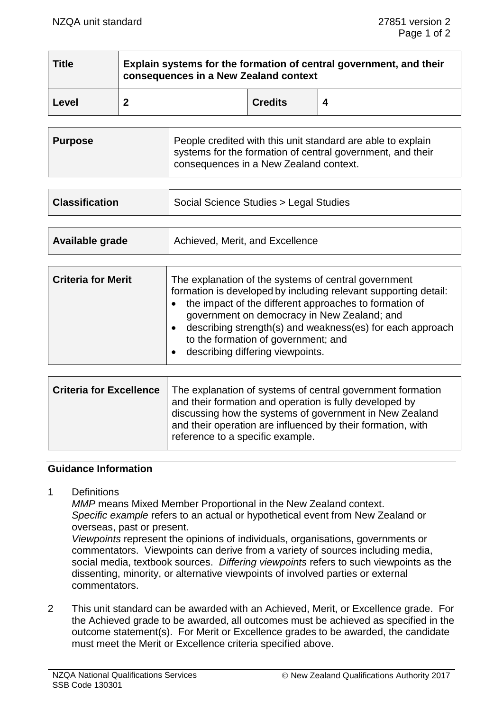| <b>Title</b> | Explain systems for the formation of central government, and their<br>consequences in a New Zealand context |                |   |
|--------------|-------------------------------------------------------------------------------------------------------------|----------------|---|
| Level        | າ                                                                                                           | <b>Credits</b> | 4 |

| <b>Purpose</b> | People credited with this unit standard are able to explain<br>systems for the formation of central government, and their<br>consequences in a New Zealand context. |
|----------------|---------------------------------------------------------------------------------------------------------------------------------------------------------------------|
|                |                                                                                                                                                                     |

| <b>Classification</b> | Social Science Studies > Legal Studies |
|-----------------------|----------------------------------------|
|                       |                                        |

| Available grade | Achieved, Merit, and Excellence |
|-----------------|---------------------------------|
|                 |                                 |

Ŧ

| <b>Criteria for Merit</b> | The explanation of the systems of central government<br>formation is developed by including relevant supporting detail:<br>the impact of the different approaches to formation of<br>government on democracy in New Zealand; and<br>describing strength(s) and weakness(es) for each approach<br>to the formation of government; and<br>describing differing viewpoints. |
|---------------------------|--------------------------------------------------------------------------------------------------------------------------------------------------------------------------------------------------------------------------------------------------------------------------------------------------------------------------------------------------------------------------|
|---------------------------|--------------------------------------------------------------------------------------------------------------------------------------------------------------------------------------------------------------------------------------------------------------------------------------------------------------------------------------------------------------------------|

| <b>Criteria for Excellence</b> | The explanation of systems of central government formation<br>and their formation and operation is fully developed by<br>discussing how the systems of government in New Zealand<br>and their operation are influenced by their formation, with<br>reference to a specific example. |
|--------------------------------|-------------------------------------------------------------------------------------------------------------------------------------------------------------------------------------------------------------------------------------------------------------------------------------|
|                                |                                                                                                                                                                                                                                                                                     |

#### **Guidance Information**

1 Definitions

*MMP* means Mixed Member Proportional in the New Zealand context. *Specific example* refers to an actual or hypothetical event from New Zealand or overseas, past or present.

*Viewpoints* represent the opinions of individuals, organisations, governments or commentators. Viewpoints can derive from a variety of sources including media, social media, textbook sources. *Differing viewpoints* refers to such viewpoints as the dissenting, minority, or alternative viewpoints of involved parties or external commentators.

2 This unit standard can be awarded with an Achieved, Merit, or Excellence grade. For the Achieved grade to be awarded, all outcomes must be achieved as specified in the outcome statement(s). For Merit or Excellence grades to be awarded, the candidate must meet the Merit or Excellence criteria specified above.